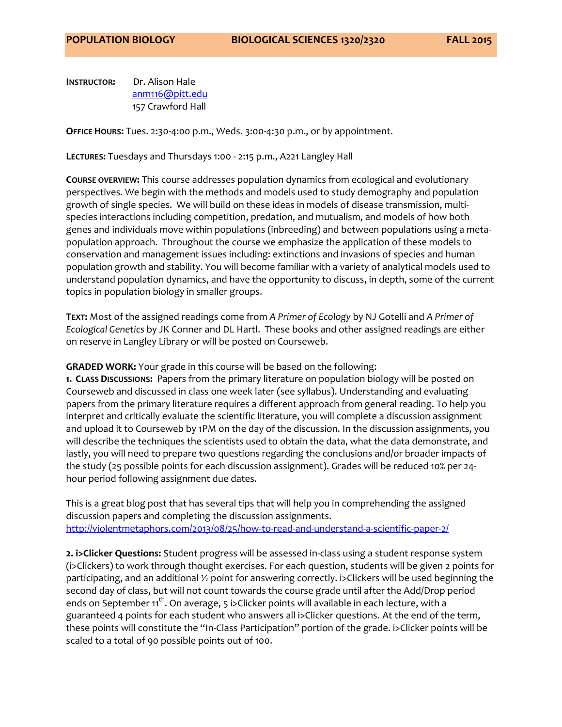**INSTRUCTOR:** Dr. Alison Hale [anm116@pitt.edu](mailto:anm116@pitt.edu) 157 Crawford Hall

**OFFICE HOURS:** Tues. 2:30-4:00 p.m., Weds. 3:00-4:30 p.m., or by appointment.

**LECTURES:** Tuesdays and Thursdays 1:00 - 2:15 p.m., A221 Langley Hall

**COURSE OVERVIEW:** This course addresses population dynamics from ecological and evolutionary perspectives. We begin with the methods and models used to study demography and population growth of single species. We will build on these ideas in models of disease transmission, multispecies interactions including competition, predation, and mutualism, and models of how both genes and individuals move within populations (inbreeding) and between populations using a metapopulation approach. Throughout the course we emphasize the application of these models to conservation and management issues including: extinctions and invasions of species and human population growth and stability. You will become familiar with a variety of analytical models used to understand population dynamics, and have the opportunity to discuss, in depth, some of the current topics in population biology in smaller groups.

**TEXT:** Most of the assigned readings come from *A Primer of Ecology* by NJ Gotelli and *A Primer of Ecological Genetics* by JK Conner and DL Hartl. These books and other assigned readings are either on reserve in Langley Library or will be posted on Courseweb.

**GRADED WORK:** Your grade in this course will be based on the following:

**1. CLASS DISCUSSIONS:** Papers from the primary literature on population biology will be posted on Courseweb and discussed in class one week later (see syllabus). Understanding and evaluating papers from the primary literature requires a different approach from general reading. To help you interpret and critically evaluate the scientific literature, you will complete a discussion assignment and upload it to Courseweb by 1PM on the day of the discussion. In the discussion assignments, you will describe the techniques the scientists used to obtain the data, what the data demonstrate, and lastly, you will need to prepare two questions regarding the conclusions and/or broader impacts of the study (25 possible points for each discussion assignment). Grades will be reduced 10% per 24 hour period following assignment due dates.

This is a great blog post that has several tips that will help you in comprehending the assigned discussion papers and completing the discussion assignments. <http://violentmetaphors.com/2013/08/25/how-to-read-and-understand-a-scientific-paper-2/>

**2. i>Clicker Questions:** Student progress will be assessed in-class using a student response system (i>Clickers) to work through thought exercises. For each question, students will be given 2 points for participating, and an additional ½ point for answering correctly. i>Clickers will be used beginning the second day of class, but will not count towards the course grade until after the Add/Drop period ends on September  $11^{th}$ . On average, 5 i>Clicker points will available in each lecture, with a guaranteed 4 points for each student who answers all i>Clicker questions. At the end of the term, these points will constitute the "In-Class Participation" portion of the grade. i>Clicker points will be scaled to a total of 90 possible points out of 100.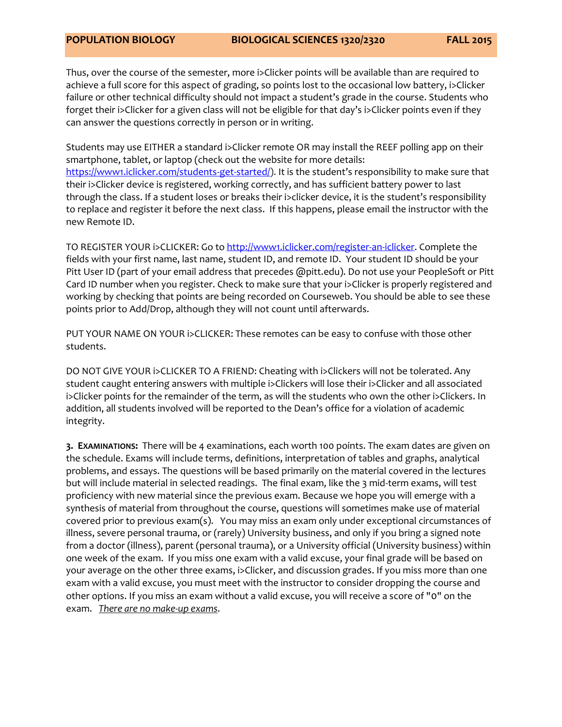Thus, over the course of the semester, more i>Clicker points will be available than are required to achieve a full score for this aspect of grading, so points lost to the occasional low battery, i>Clicker failure or other technical difficulty should not impact a student's grade in the course. Students who forget their i>Clicker for a given class will not be eligible for that day's i>Clicker points even if they can answer the questions correctly in person or in writing.

Students may use EITHER a standard i>Clicker remote OR may install the REEF polling app on their smartphone, tablet, or laptop (check out the website for more details: [https://www1.iclicker.com/students-get-started/\)](https://www1.iclicker.com/students-get-started/). It is the student's responsibility to make sure that their i>Clicker device is registered, working correctly, and has sufficient battery power to last through the class. If a student loses or breaks their i>clicker device, it is the student's responsibility to replace and register it before the next class. If this happens, please email the instructor with the new Remote ID.

TO REGISTER YOUR i>CLICKER: Go to [http://www1.iclicker.com/register-an-iclicker.](http://www1.iclicker.com/register-an-iclicker) Complete the fields with your first name, last name, student ID, and remote ID. Your student ID should be your Pitt User ID (part of your email address that precedes @pitt.edu). Do not use your PeopleSoft or Pitt Card ID number when you register. Check to make sure that your i>Clicker is properly registered and working by checking that points are being recorded on Courseweb. You should be able to see these points prior to Add/Drop, although they will not count until afterwards.

PUT YOUR NAME ON YOUR i>CLICKER: These remotes can be easy to confuse with those other students.

DO NOT GIVE YOUR I>CLICKER TO A FRIEND: Cheating with i>Clickers will not be tolerated. Any student caught entering answers with multiple i>Clickers will lose their i>Clicker and all associated i>Clicker points for the remainder of the term, as will the students who own the other i>Clickers. In addition, all students involved will be reported to the Dean's office for a violation of academic integrity.

**3. EXAMINATIONS:** There will be 4 examinations, each worth 100 points. The exam dates are given on the schedule. Exams will include terms, definitions, interpretation of tables and graphs, analytical problems, and essays. The questions will be based primarily on the material covered in the lectures but will include material in selected readings. The final exam, like the 3 mid-term exams, will test proficiency with new material since the previous exam. Because we hope you will emerge with a synthesis of material from throughout the course, questions will sometimes make use of material covered prior to previous exam(s). You may miss an exam only under exceptional circumstances of illness, severe personal trauma, or (rarely) University business, and only if you bring a signed note from a doctor (illness), parent (personal trauma), or a University official (University business) within one week of the exam. If you miss one exam with a valid excuse, your final grade will be based on your average on the other three exams, i>Clicker, and discussion grades. If you miss more than one exam with a valid excuse, you must meet with the instructor to consider dropping the course and other options. If you miss an exam without a valid excuse, you will receive a score of "0" on the exam. *There are no make-up exams*.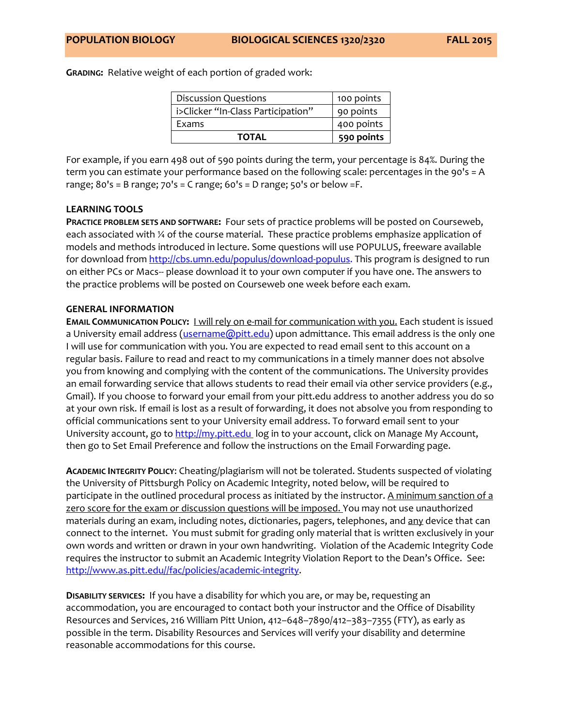**GRADING:** Relative weight of each portion of graded work:

| <b>Discussion Questions</b>        | 100 points |
|------------------------------------|------------|
| i>Clicker "In-Class Participation" | 90 points  |
| <b>Fxams</b>                       | 400 points |
| <b>TOTAL</b>                       | 590 points |

For example, if you earn 498 out of 590 points during the term, your percentage is 84%. During the term you can estimate your performance based on the following scale: percentages in the 90's = A range;  $80's = B$  range;  $70's = C$  range;  $60's = D$  range;  $50's$  or below  $=F$ .

## **LEARNING TOOLS**

**PRACTICE PROBLEM SETS AND SOFTWARE:** Four sets of practice problems will be posted on Courseweb, each associated with ¼ of the course material. These practice problems emphasize application of models and methods introduced in lecture. Some questions will use POPULUS, freeware available for download from [http://cbs.umn.edu/populus/download-populus.](http://cbs.umn.edu/populus/download-populus) This program is designed to run on either PCs or Macs-- please download it to your own computer if you have one. The answers to the practice problems will be posted on Courseweb one week before each exam.

## **GENERAL INFORMATION**

**EMAIL COMMUNICATION POLICY:** I will rely on e-mail for communication with you. Each student is issued a University email address [\(username@pitt.edu\)](../Kalisz%20Dump/username@pitt.edu) upon admittance. This email address is the only one I will use for communication with you. You are expected to read email sent to this account on a regular basis. Failure to read and react to my communications in a timely manner does not absolve you from knowing and complying with the content of the communications. The University provides an email forwarding service that allows students to read their email via other service providers (e.g., Gmail). If you choose to forward your email from your pitt.edu address to another address you do so at your own risk. If email is lost as a result of forwarding, it does not absolve you from responding to official communications sent to your University email address. To forward email sent to your University account, go to [http://my.pitt.edu](http://my.pitt.edu/) log in to your account, click on Manage My Account, then go to Set Email Preference and follow the instructions on the Email Forwarding page.

**ACADEMIC INTEGRITY POLICY**: Cheating/plagiarism will not be tolerated. Students suspected of violating the University of Pittsburgh Policy on Academic Integrity, noted below, will be required to participate in the outlined procedural process as initiated by the instructor. A minimum sanction of a zero score for the exam or discussion questions will be imposed. You may not use unauthorized materials during an exam, including notes, dictionaries, pagers, telephones, and any device that can connect to the internet. You must submit for grading only material that is written exclusively in your own words and written or drawn in your own handwriting. Violation of the Academic Integrity Code requires the instructor to submit an Academic Integrity Violation Report to the Dean's Office. See: [http://www.as.pitt.edu//fac/policies/academic-integrity.](http://www.as.pitt.edu/fac/policies/academic-integrity)

**DISABILITY SERVICES:** If you have a disability for which you are, or may be, requesting an accommodation, you are encouraged to contact both your instructor and the Office of Disability Resources and Services, 216 William Pitt Union, 412–648–7890/412–383–7355 (FTY), as early as possible in the term. Disability Resources and Services will verify your disability and determine reasonable accommodations for this course.